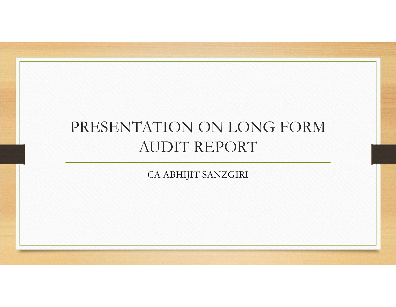## PRESENTATION ON LONG FORM AUDIT REPORT

CA ABHIJIT SANZGIRI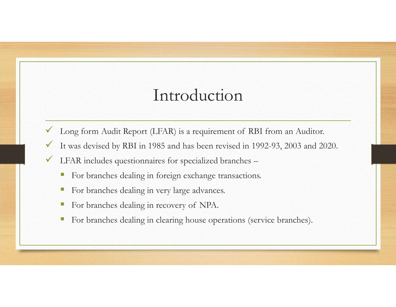## Introduction

- 
- Long form Audit Report (LFAR) is a requirement of RBI from an Auditor.<br>
V Long form Audit Report (LFAR) is a requirement of RBI from an Auditor.<br>
V LFAR includes questionnaires for specialized branches Introduction<br>
V Long form Audit Report (LFAR) is a requirement of RBI from an Auditor.<br>
V It was devised by RBI in 1985 and has been revised in 1992-93, 2003 and 2020.<br>
V LEAR includes questionnaires for specialized branch Introduction<br>
V Long form Audit Report (LFAR) is a requirement of RBI from an Auditor.<br>
V It was devised by RBI in 1985 and has been revised in 1992-93, 2003 and 2020.<br>
V LFAR includes questionnaires for specialized branch Introduction<br>
Long form Audit Report (LFAR) is a requirement of RBI from an Auditor.<br>
It was devised by RBI in 1985 and has been revised in 1992-93, 2003 and 2020.<br>
LFAR includes questionnaires for specialized branches –<br> Introduction<br>
Long form Audit Report (LFAR) is a requirement of RBI from an Auditor.<br>
It was devised by RBI in 1985 and has been revised in 1992-93, 2003 and 2020.<br>
LFAR includes questionnaires for specialized branches –<br> Introduction<br>
For a hadit Report (I.FAR) is a requirement of RBI from an Auditor.<br>
It was devised by RBI in 1985 and has been revised in 1992-93, 2003 and 2020.<br>
LFAR includes questionnaires for specialized branches –<br>
For For branches dealing in recovery of NPA.<br>
The branches devised by RBI in 1985 and has been revised in 1992-93, 2003 and 2020.<br>
LFAR includes questionnaires for specialized branches –<br>
• For branches dealing in foreign exch
- -
	-
	-
	-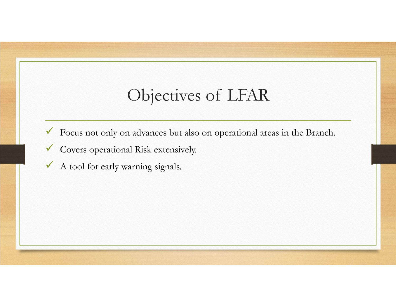## Objectives of LFAR<br>
a advances but also on operational areas in the Branch.

- Objectives of LFAR<br>
Focus not only on advances but also on operational areas in the Branch.<br>
V Covers operational Risk extensively.<br>
A tool for early warning signals.
- Covers operational Risk extensively.
- $\checkmark$  A tool for early warning signals.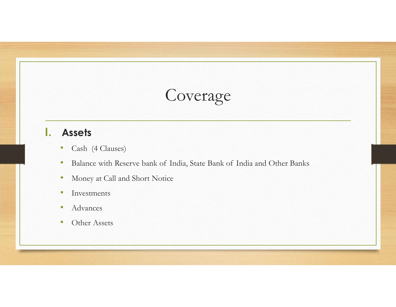## I. Assets

- Cash (4 Clauses)
- examples and Converage<br>
 Cash (4 Clauses)<br>
 Balance with Reserve bank of India, State Bank of India and Other Banks<br>
 Money at Call and Short Notice<br>
 Investments
- Money at Call and Short Notice
- Investments
- Advances
- Other Assets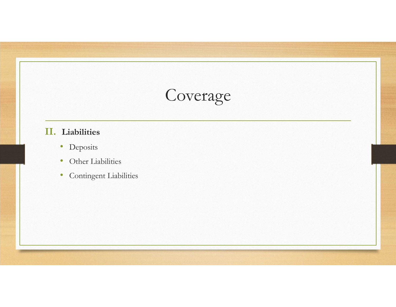## II. Liabilities

- Deposits
- Other Liabilities
- Contingent Liabilities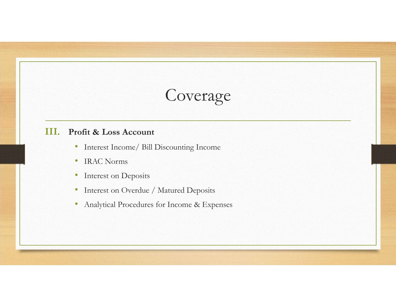## III. Profit & Loss Account

- Interest Income/ Bill Discounting Income
- IRAC Norms
- Interest on Deposits
- Interest on Overdue / Matured Deposits
- Analytical Procedures for Income & Expenses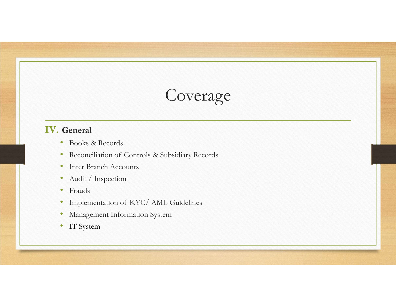## IV. General

- Books & Records
- COVETAGE<br>
COVETAGE<br>
 Books & Records<br>
 Reconciliation of Controls & Subsidiary Records<br>
 Inter Branch Accounts<br>
 Audit / Inspection<br>
 Frauds COVETAGE<br>
• Books & Records<br>
• Reconciliation of Controls & Subsidiary Records<br>
• Inter Branch Accounts<br>
• Audit / Inspection<br>
• Frauds<br>
• Implementation of KYC/ AML Guidelines<br>
• Management Information System<br>
• IT System
- Inter Branch Accounts
- Audit / Inspection
- Frauds
- 
- Management Information System
- IT System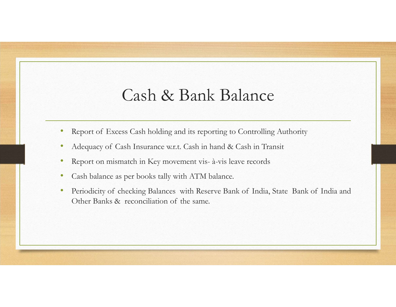## Cash & Bank Balance • Report of Excess Cash holding and its reporting to Controlling Authority<br>• Report of Excess Cash holding and its reporting to Controlling Authority<br>• Adequacy of Cash Insurance w.r.t. Cash in hand & Cash in Transit<br>• Rep Cash & Bank Balance<br>• Report of Excess Cash holding and its reporting to Controlling Authority<br>• Adequacy of Cash Insurance w.r.t. Cash in hand & Cash in Transit<br>• Report on mismatch in Key movement vis- à-vis leave record

- 
- 
- 
- 
- Cash & Bank Balance<br>• Report of Excess Cash holding and its reporting to Controlling Authority<br>• Adequacy of Cash Insurance w.r.t. Cash in hand & Cash in Transit<br>• Report on mismatch in Key movement vis- à-vis leave record Cash & Bank Balance<br>• Report of Excess Cash holding and its reporting to Controlling Authority<br>• Adequacy of Cash Insurance w.r.t. Cash in hand & Cash in Transit<br>• Report on mismatch in Key movement vis- à-vis leave record • Report of Excess Cash holding and its reporting to Controlling Authority<br>• Adequacy of Cash Insurance w.r.t. Cash in hand & Cash in Transit<br>• Report on mismatch in Key movement vis- à-vis leave records<br>• Cash balance as Cash & Bank Balance<br>Report of Excess Cash holding and its reporting to Controlling Authority<br>Adequacy of Cash Insurance w.r.t. Cash in hand & Cash in Transit<br>Report on mismatch in Key movement vis- à-vis leave records<br>Cash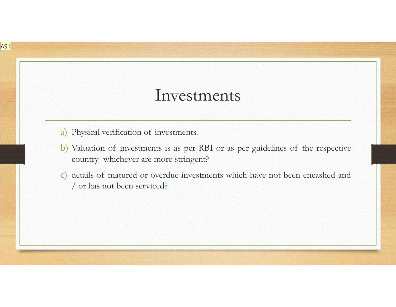## Investments

AS1

- Investments<br>
a) Physical verification of investments.<br>
b) Valuation of investments is as per RBI or as per guidelines of the r<br>
country whichever are more stringent? **b**) Physical verification of investments.<br> **b**) Valuation of investments is as per RBI or as per guidelines of the respective country whichever are more stringent?<br> **c**) dctails of matured or overduc investments which hav Investments<br>
Physical verification of investments.<br>
Valuation of investments is as per RBI or as per guidelines of the respec<br>
country whichever are more stringent?<br>
details of matured or overdue investments which have not Investments<br>Physical verification of investments.<br>Valuation of investments is as per RBI or as per guidelines of<br>country whichever are more stringent?<br>details of matured or overdue investments which have not been<br>/ or has
- **c**) Physical verification of investments.<br> **c**) Dyaluation of investments is as per RBI or as per guidelines of the respective country whichever are more stringent?<br> **c**) details of matured or overdue investments which ha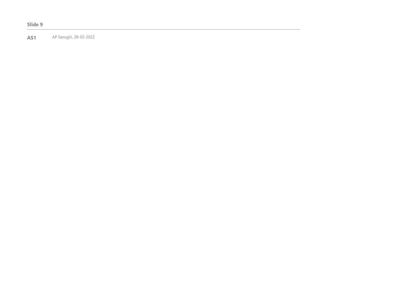## Slide 9

AS1 AP Sanzgiri, 28-02-2022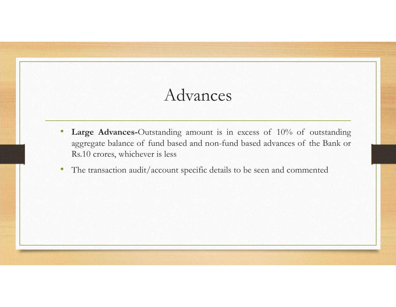## Advances

- Advances<br>• Large Advances-Outstanding amount is in excess of 10% of outstanding<br>• aggregate balance of fund based and non-fund based advances of the Bank or<br>• The transaction audit/account specific details to be seen and c Advances<br>
Large Advances-Outstanding amount is in excess of 10% of outstanding<br>
aggregate balance of fund based and non-fund based advances of the Bank or<br>
Rs.10 crores, whichever is less<br>
The transaction audit/account spe Advances<br>Large Advances-Outstanding amount is in excess of 10% of outst<br>aggregate balance of fund based and non-fund based advances of the B<br>Rs.10 crores, whichever is less<br>The transaction audit/account specific details to Advances<br>• Large Advances-Outstanding amount is in excess of 10% of outstanding<br>• aggregate balance of fund based and non-fund based advances of the Bank or<br>• The transaction audit/account specific details to be seen and c
-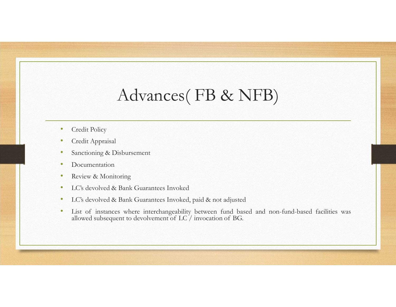## Advances( FB & NFB) Advances (FB & N)<br>• Credit Policy<br>• Credit Appraisal<br>• Sanctioning & Disbursement<br>• Documentation • Credit Policy<br>• Credit Appraisal<br>• Sanctioning & Disbursement<br>• Documentation<br>• Review & Monitoring<br>• LC's devolved & Bank Guarantees Invoked Advances (FB & NF<br>
• Credit Policy<br>
• Credit Appraisal<br>
• Sanctioning & Disbursement<br>
• Documentation<br>
• Review & Monitoring<br>
• LC's devolved & Bank Guarantees Invoked<br>
• List of instances where interchangeability between

- 
- 
- 
- 
- 
- 
- 
- Advances (FB & NFB)<br>• Credit Policy<br>• Credit Appraisal<br>• Sanctioning & Disbursement<br>• Documentation<br>• Review & Monitoring<br>• LC's devolved & Bank Guarantees Invoked<br>• LG's devolved & Bank Guarantees Invoked, paid & not adju Advances (FB & NFB)<br>• Credit Policy<br>• Credit Appraisal<br>• Sanctioning & Disbursement<br>• Documentation<br>• LC's devolved & Bank Guarantees Invoked<br>• LC's devolved & Bank Guarantees Invoked, paid & not adjusted<br>• List of instanc • Credit Poley<br>• Credit Appnisal<br>• Sanctioning & Disbursement<br>• Decumentation<br>• Review & Monitoring<br>• LC's devolved & Bank Guarantees Invoked<br>• LC's devolved & Bank Guarantees Invoked, paid & not adjusted<br>• List of instanc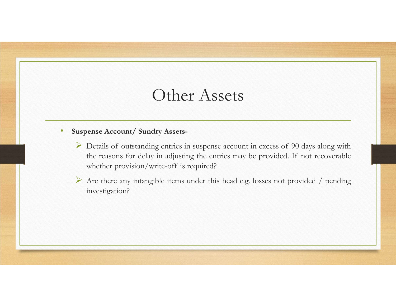## Other Assets

- Suspense Account/Sundry Assets-<br>• Suspense Account/Sundry Assets-<br>• Details of outstanding entries in suspense account in excess of 90 days alo<br>• the reasons for delay in adjusting the entries may be provided. If not re Other Assets<br>
suspense Account/Sundry Assets-<br>
→ Details of outstanding entries in suspense account in excess of 90 days along with<br>
the reasons for delay in adjusting the entries may be provided. If not recoverable<br>
→ Ar Other Assets<br>
ense Account/Sundry Assets-<br>
Details of outstanding entries in suspense account in excess of 90 days along with<br>
the reasons for delay in adjusting the entries may be provided. If not recoverable<br>
whether pro Other Assets<br>where Account/Sundry Assets-<br>Details of outstanding entries in suspense account in excess of 90 days along with<br>the reasons for delay in adjusting the entries may be provided. If not recoverable<br>whether provis Are there are any intangible items under this head e.g. losses not provided / pending<br>
any integration is integrated and a suppose account in excess of 90 days along with<br>
the reasons for delay in adjusting the entries ma
	- investigation?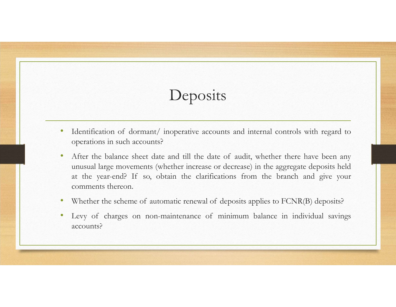## Deposits

- 
- Identification of dormant/inoperative accounts and internal controls with regard to operations in such accounts?<br>• After the balance sheet date and till the date of audit, whether there have been any unusual large moveme **Deposits**<br> **Deposits**<br>
Identification of dormant/inoperative accounts and internal contro<br>
operations in such accounts?<br>
After the balance sheet date and till the date of audit, whether the<br>
unusual large movements (wheth • Mentification of dormant/inoperative accounts and internal controls with regard to operations in such accounts?<br>• After the balance sheet date and till the date of audit, whether there have been any unusual large movemen **Deposits**<br>
Undentification of dormant/inoperative accounts and internal controls with regard to<br>
operations in such accounts?<br>
After the balance sheet date and till the date of audit, whether there have been any<br>
unusual **Example 18 Accounts:**<br> **CONSTREND ACCONSTREND ACCOUNTS ACCOUNT:**<br>
After the balance sheet date and till the date of audit, whether there have been any<br>
any unsual large movements (whether increase or decrease) in the aggr Deposits<br>
Identification of dormant/inoperative accounts and internal<br>
operations in such accounts?<br>
After the balance sheet date and till the date of audit, whet<br>
unusual large movements (whether increase or decrease) in **•** Identification of dormant/inoperative accounts and internal controls with regard to operations in such accounts?<br>• After the balance sheet date and till the date of audit, whether there have been any unusual large move **Example 19 For Constant Conducts**<br>
• Identification of dormant/inoperative accounts and internal controls with regard to<br>
• After the balance sheet dat and till the date of audit, whether there have been any<br>
• unusual la
- 
- accounts?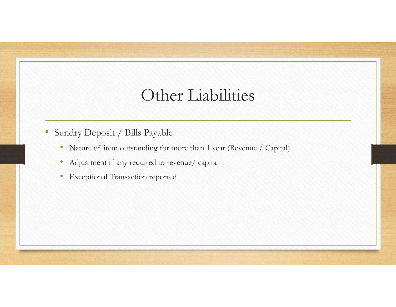## Other Liabilities • Other Liabilities<br>• Nature of item outstanding for more than 1 year (Revenue / Capital)<br>• Adjustment if any required to revenue/ capita<br>• Exceptional Transaction reported Other Liabilities<br>
• Nature of item outstanding for more than 1 year (Revenue / Capi<br>
• Adjustment if any required to revenue/ capita<br>
• Exceptional Transaction reported

- Sundry Deposit / Bills Payable
	-
	-
	- Exceptional Transaction reported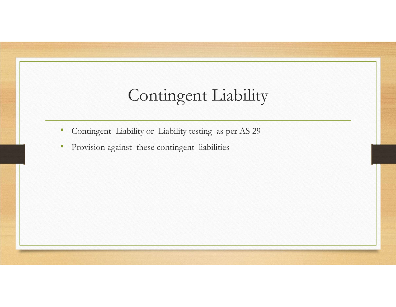## Contingent Liability • Contingent Liability<br>• Contingent Liability or Liability testing as per AS 29<br>• Provision against these contingent liabilities Contingent Liability<br>• Contingent Liability or Liability testing as per AS 29<br>• Provision against these contingent liabilities

- 
-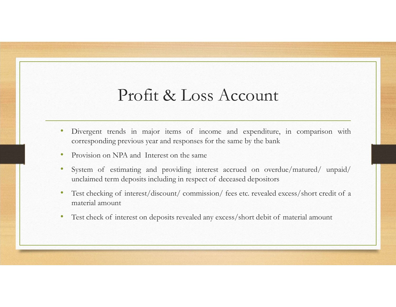## Profit & Loss Account

- Divergent trends in major items of income and expenditure, in comparison with<br>• Divergent trends in major items of income and expenditure, in comparison with<br>• Provision on NPA and Interest on the same<br>• System of estima Profit & Loss Account<br>Divergent trends in major items of income and expendiure, in comparison with<br>corresponding previous year and responses for the same by the bank<br>Eystem of estimating and providing interest accrued on o
- 
- Profit & Loss Account<br>• Divergent trends in major items of income and expenditure, in comparison with<br>• corresponding previous year and responses for the same by the bank<br>• Provision on NPA and Interest on the same<br>• Syste • Divergent trends in major items of income and expenditure, in comparison with<br>• Divergent trends in major items of income and expenditure, in comparison with<br>• Provision on NPA and Interest on the same<br>• System of estima **Profit & Loss Account**<br>
Divergent trends in major items of income and expenditure, in comparison with<br>
corresponding previous year and responses for the same by the bank<br>
Provision on NPA and Interest on the same<br>
System • Divergent trends in major items of income and expenditure, in comparison with corresponding previous year and responses for the same by the bank<br>• Provision on NPA and Interest on the same<br>• System of estimating and prov **Profit & Loss Accouse**<br>Divergent trends in major items of income and expen<br>corresponding previous year and responses for the same by the<br>Provision on NPA and Interest on the same<br>System of estimating and providing interes • PTOTIT & LOSS ACCOUNT<br>• Divergent trends in major items of income and expenditure, in comparison with<br>corresponding previous year and responses for the same by the bank<br>• Provision on NPA and Interest on the same<br>• Syste
- 
-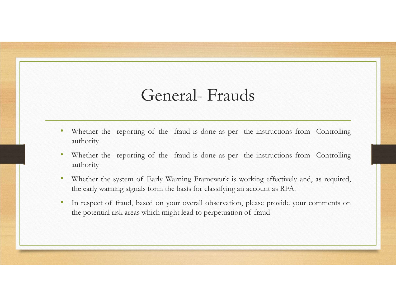- General- Frauds<br>g of the fraud is done as per the instructions from Controlling authority
- Whether the reporting of the fraud is done as per the instructions from Controlling<br>• Whether the reporting of the fraud is done as per the instructions from Controlling<br>authority<br>authority • Whether the reporting of the fraud is done as per the instructions from Controlling<br>• Whether the reporting of the fraud is done as per the instructions from Controlling<br>• Whether the system of Early Warning Framework is authority
- 
- Whether the reporting of the fraud is done as per the instructions from Controlling<br>
 Whether the reporting of the fraud is done as per the instructions from Controlling<br>
 Whether the reporting of the fraud is done as General- Frauds<br>Whether the reporting of the fraud is done as per the instructions from Controlling<br>authority<br>Whether the reporting of the fraud is done as per the instructions from Controlling<br>whether the system of Early • Viberic the reporting of the fraud is done as per the instructions from Controlling<br>
• Whether the reporting of the fraud is done as per the instructions from Controlling<br>
• Whether the system of Early Warning Framework **General- Frauds**<br>Whether the reporting of the fraud is done as per the instructions from Controlling<br>authority<br>Whether the reporting of the fraud is done as per the instructions from Controlling<br>authority<br>Whether the sys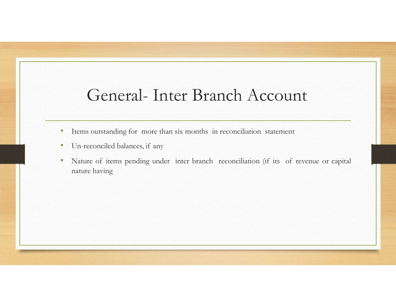## General- Inter Branch Account<br>
soutstanding for more than six months in reconciliation statement

- 
- 
- Items outstanding for more than six months in reconciliation statement<br>• Items outstanding for more than six months in reconciliation statement<br>• Un-reconciled balances, if any<br>• Nature of terms pending under inter branc General- Inter Branch Account<br>• Tiems outstanding for more than six months in reconciliation statement<br>• Un-reconciled balances, if any<br>• Nature of items pending under inter branch reconciliation (if its of revenue nature • Items outstanding for more than six months in reconciliation statement<br>• Items outstanding for more than six months in reconciliation statement<br>• Un-reconciled balances, if any<br>• Nature of items pending under inter branc **General- Inter Branch A**<br>Items outstanding for more than six months in reconciliatio<br>Un-reconciled balances, if any<br>Nature of items pending under inter branch reconciliation<br>nature having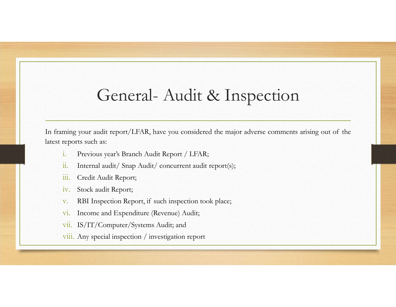## General- Audit & Inspection<br>with report/LFAR, have you considered the major adverse comments arising out of the

General- Audit & Inspection<br>
In framing your audit report/LFAR, have you considered the major adverse comments arising out of the<br>
latest reports such as:<br>
i. Previous year's Branch Audit Report / LFAR;<br>
ii. Internal audit General- Audit & Insper<br>In framing your audit report/LFAR, have you considered the major adverse<br>Interst reports such as:<br>i. Previous year's Branch Audit Report / LFAR;<br>ii. Internal audit/ Snap Audit/ concurrent audit repo **General- Audit & Inspection**<br>
ming your audit report/LFAR, have you considered the major adverse comments arising out of the<br>
reports such as:<br>
i. Previous year's Branch Audit Report / LFAR;<br>
ii. Internal audit/ Snap Audi General- Audit & Inspection<br>ming your audit report/I.FAR, have you considered the major adverse comments arising out of the<br>reports such as:<br>i. Previous year's Branch Audit Report / LIAR;<br>ii. Internal audit/ Snap Audit/ co **General-Audit & Inspection**<br>
Sections your and the report/LFAR, have you considered the major adverse comports such as:<br>
i. Previous year's Branch Audit Report / LFAR;<br>
ii. Internal audit/ Snap Audit/ concurrent audit rep General- Audit & Inspect<br>ming your audit report/LFAR, have you considered the major adverse co<br>reports such as:<br>i. Previous year's Branch Audit Report / LFAR;<br>ii. Internal audit/ Snap Audit/ concurrent audit report(s);<br>iii General- Audit & Inspection<br>
ming your audit report/LFAR, have you considered the major adverse comments arising out of the<br>
reports such as:<br>
i. Previous year's Branch Audit Report / LFAR;<br>
ii. Internal audit/ Snap Audit/ General- Audit & Inspection<br>ming your audit report/LFAR, have you considered the major adverse comments arising out of the<br>reports such as:<br>i. Previous year's Branch Audit Report / LFAR;<br>ii. Internal audit/ Snap Audit/ con I<br>
I<br>
I ming your audit report/LFAR, have you considered the major adverse comments arising out of<br>
reports such as:<br>
. Previous year's Branch Audit Report / LFAR;<br>
. Internal audit/ Snap Audit/ concurrent audit report(s); ming your audit report/LFAR, have you considered the major adverse comments arising out of the<br>reports such as:<br>i. Previous year's Branch Audit Report / LFAR;<br>i. Internal audit/ Snap Audit/ concurrent audit report(s);<br>i. C

- 
- 
- 
- 
- 
- 
- 
-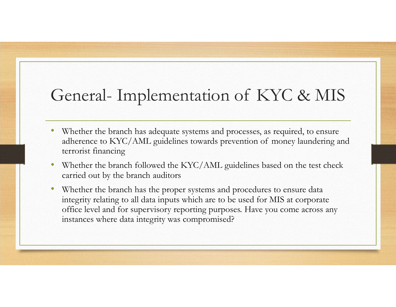## General- Implementation of KYC & MIS<br>• Whether the branch has adequate systems and processes, as required, to ensure

- Whether the branch has adequate systems and processes, as required, to ensure Feneral- Implementation of KYC & MIS<br>
Whether the branch has adequate systems and processes, as required, to ensure<br>
adherence to KYC/AML guidelines towards prevention of money laundering and<br>
terrorist financing<br>
Whether terrorist financing
- Whether the branch followed the KYC/AML guidelines based on the test check carried out by the branch auditors
- Whether the branch has the proper systems and procedures to ensure data integrity relating to all data inputs which are to be used for MIS at corporate office level and for supervisory reporting purposes. Have you come across any instances where data integrity was compromised?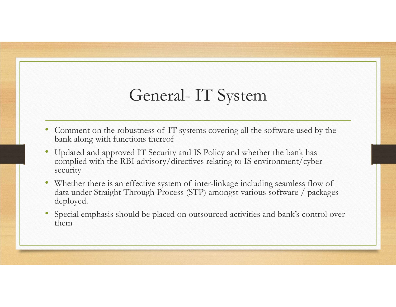- General- IT System<br>
ustness of IT systems covering all the software used by the<br>
tions theref bank along with functions thereof
- Comment on the robustness of IT systems covering all the software used by the bank along with functions thereof<br>• Updated and approved IT Security and IS Policy and whether the bank has complied with the RBI advisory/dir • Updated and approved IT Security and IS Policy and whether the bank has complied with the RBI advisory/directives relating to IS environment/cyber security
- Comment on the robustness of T1' systems covering all the software used by the bank along with functions thereof<br>• Updated and approved TT Security and IS Policy and whether the bank has<br>• complied with the RBI advisory/ deployed.
- Special emphasis should be placed on outsourced activities and bank's control over them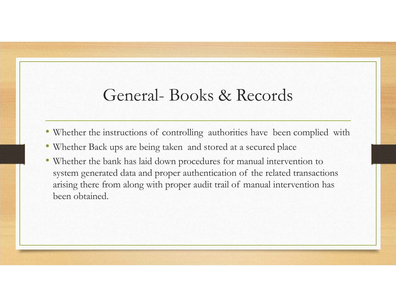## General- Books & Records<br>
instructions of controlling authorities have been complied with

- 
- 
- Whether the instructions of controlling authorities have been complied with Whether Back ups are being taken and stored at a secured place whether the bank has laid cover of whether for manual intervention to system co General- Books & Records<br>• Whether the instructions of controlling authorities have been complied with<br>• Whether Back ups are being taken and stored at a secured place<br>• Whether the bank has laid down procedures for manual • Whether the bank has laid down procedures for manual intervention to System General Devices System General Devices System generated transactions of controlling authorities have been complied with Whether Back ups are being taken and stored at a secured place Whether the bank has laid down p General- Books & Records<br>
Whether the instructions of controlling authorities have been complied with<br>
Whether Back ups are being taken and stored at a secured place<br>
Whether the bank has laid down procedures for manual in been obtained.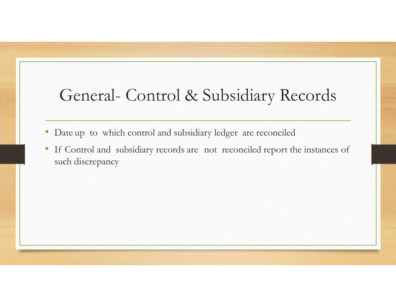## General- Control & Subsidiary Records<br>
Date up to which control and subsidiary ledger are reconciled

- 
- General- Control & Subsidiary Records<br>• Date up to which control and subsidiary ledger are reconciled<br>• If Control and subsidiary records are not reconciled report the instances of such discrepancy Ceneral- Control & Subsidiary Records<br>• Date up to which control and subsidiary ledger are reconciled<br>• If Control and subsidiary records are not reconciled report the instances of such discrepancy General- Control & Subs:<br>Date up to which control and subsidiary ledger<br>If Control and subsidiary records are not reco<br>such discrepancy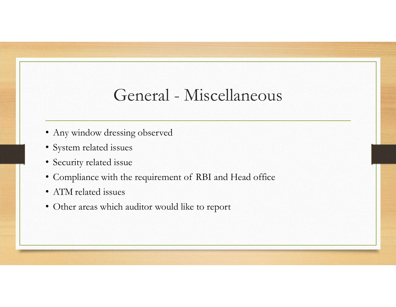## General - Miscellaneous General - Miscellaneous<br>• Any window dressing observed<br>• System related issues<br>• Security related issue General - Miscellaneou<br>• Any window dressing observed<br>• System related issues<br>• Security related issue<br>• Compliance with the requirement of RBI and Head office General - Miscellaneou:<br>• Any window dressing observed<br>• System related issues<br>• Security related issue<br>• Compliance with the requirement of RBI and Head office<br>• ATM related issues • General - Miscellaneous<br>• Any window dressing observed<br>• System related issues<br>• Security related issue<br>• Compliance with the requirement of RBI and Head office<br>• ATM related issues<br>• Other areas which auditor would like General - Miscella<br>• Any window dressing observed<br>• System related issues<br>• Security related issue<br>• Compliance with the requirement of RBI and He<br>• ATM related issues<br>• Other areas which auditor would like to report General - Miscellaneous<br>
• Any window dressing observed<br>
• System related issues<br>
• Security related issues<br>
• Compliance with the requirement of RBI and Head office<br>
• ATM related issues<br>
• Other areas which auditor would

- 
- 
- 
- 
- 
-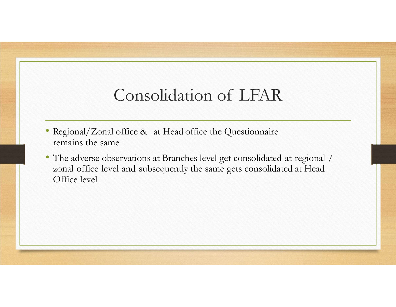## Consolidation of LFAR<br>
office & at Head office the Questionnaire

- 
- Consolidation of LFAR<br>• Regional/Zonal office & at Head office the Questionnaire<br>• The adverse observations at Branches level get consolidated at regional /<br>• zonal office level and subsequently the same gets consolidated Consolidation of LFA<br>Regional/Zonal office & at Head office the Questionn<br>remains the same<br>The adverse observations at Branches level get consolid<br>zonal office level and subsequently the same gets conso<br>Office level • Regional/Zonal office & at Head office the Questionnaire<br>• Regional/Zonal office & at Head office the Questionnaire<br>• The adverse observations at Branches level get consolidated at regional /<br>• zonal office level and sub Consolidation of LFAR<br>Regional/Zonal office & at Head office the Questionnaire<br>remains the same<br>The adverse observations at Branches level get consolidated at regional /<br>zonal office level and subsequently the same gets co Consolidation of I<br>Regional/Zonal office & at Head office the Ques<br>remains the same<br>The adverse observations at Branches level get consolal office level and subsequently the same gets<br>Office level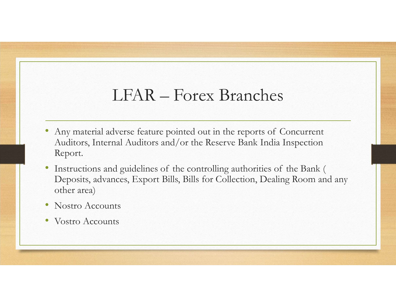## LFAR – Forex Branches

- Any material adverse feature pointed out in the reports of Concurrent<br>• Any material adverse feature pointed out in the reports of Concurrent<br>• Auditors, Internal Auditors and/or the Reserve Bank India Inspection<br>• Instr Auditors, Internal Auditors and/or the Reserve Bank India Inspection Report.
- FAR Forex Branches<br>• Any material adverse feature pointed out in the reports of Concurrent<br>Auditors, Internal Auditors and/or the Reserve Bank India Inspection<br>Report.<br>• Instructions and guidelines of the controlling aut Deposits, advances, Export Bills, Bills for Collection, Dealing Room and any other area)
- Nostro Accounts
- Vostro Accounts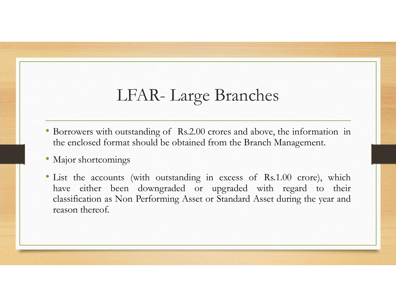## LFAR- Large Branches<br>
butstanding of Rs.2.00 crores and above, the information

- EFAR Large Branches<br>• Borrowers with outstanding of Rs.2.00 crores and above, the information in<br>• Major shortcomings<br>• Major shortcomings LFAR- Large Branches<br>Borrowers with outstanding of Rs.2.00 crores and above, the information in<br>the cnclosed format should be obtained from the Branch Management.<br>Major shortcomings<br>List the accounts (with outstanding in e
- 
- LFAR- Large Brate<br>• Borrowers with outstanding of Rs.2.00 crores and<br>• Consider the enclosed format should be obtained from the<br>• Major shortcomings<br>• List the accounts (with outstanding in excess have either been downgrad LFAR- Large Branches<br>• Borrowers with outstanding of Rs.2.00 crores and above, the information in<br>the cnclosed format should be obtained from the Branch Management.<br>• Major shortcomings<br>• List the accounts (with outstandin LFAR- Large Branches<br>
Borrowers with outstanding of Rs.2.00 crores and above, the information in<br>
the enclosed format should be obtained from the Branch Management.<br>
Major shortcomings<br>
List the accounts (with outstanding LFAR- Large Branches<br>Borrowers with outstanding of Rs.2.00 crores and above, the information in<br>the enclosed format should be obtained from the Branch Management.<br>Major shortcomings<br>List the accounts (with outstanding in e LFAR- Large Brat<br>Borrowers with outstanding of Rs.2.00 crores and<br>the enclosed format should be obtained from the<br>Major shortcomings<br>List the accounts (with outstanding in excess<br>have either been downgraded or upgrade<br>clas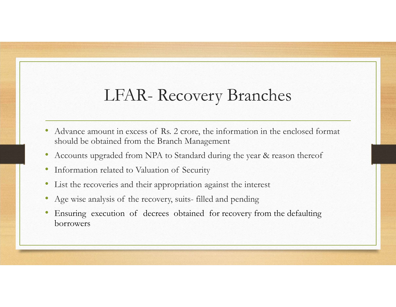## LFAR- Recovery Branches<br>
unt in excess of Rs. 2 crore, the information in the enclosed format

- Advance amount in excess of Rs. 2 crore, the information in the enclosed format<br>• Advance amount in excess of Rs. 2 crore, the information in the enclosed format<br>• Accounts upgraded from NPA to Standard during the year & should be obtained from the Branch Management LFAR – Recovery Branches<br>• Advance amount in excess of Rs. 2 crore, the information in the enclosed format<br>• Accounts upgraded from the Branch Management<br>• Accounts upgraded from NPA to Standard during the year & reason th LFAR - Recovery Branches<br>• Advance amount in excess of Rs. 2 crore, the information in the enclosed format<br>• should be obtained from the Branch Management<br>• Accounts upgraded from NPA to Standard during the year & reason t **EXECTS BEACT CONCRY BEACH CONSECUTE:**<br>• Advance amount in excess of Rs. 2 crore, the information in the enclosed format<br>• Accounts upgraded from NPA to Standard during the year & reason thereof<br>• Information related to Va
- Accounts upgraded from NPA to Standard during the year & reason thereof
- 
- List the recoveries and their appropriation against the interest
- 
- borrowers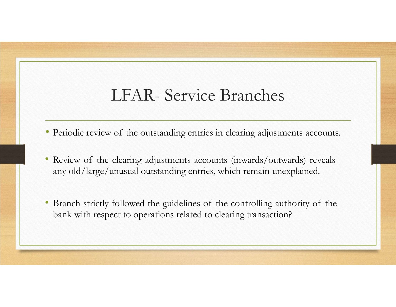## LFAR- Service Branches<br>of the outstanding entries in clearing adjustments accounts

- 
- LFAR- Service Branches<br>• Periodic review of the outstanding entries in clearing adjustments accounts.<br>• Review of the clearing adjustments accounts (inwards/outwards) reveals<br>any old/larve/unusual outstanding entries, whic LFAR- Service Branches<br>• Periodic review of the outstanding entries in clearing adjustments accounts.<br>• Review of the clearing adjustments accounts (inwards/outwards) reveals<br>any old/large/unusual outstanding entries, whic LFAR- Service Branches<br>
Periodic review of the outstanding entries in clearing adjustments accounts.<br>
Review of the clearing adjustments accounts (inwards/outwards) reveals<br>
any old/large/unusual outstanding entries, which
- Periodic review of the outstanding entries in clearing adjustments accounts.<br>• Review of the clearing adjustments accounts (inwards/outwards) reveals<br>• any old/large/unusual outstanding entries, which remain unexplained. LFAR- Service Branches<br>
Periodic review of the outstanding entries in clearing adjustments accounts.<br>
Review of the clearing adjustments accounts (inwards/outwards) reveals<br>
any old/large/unusual outstanding entries, which